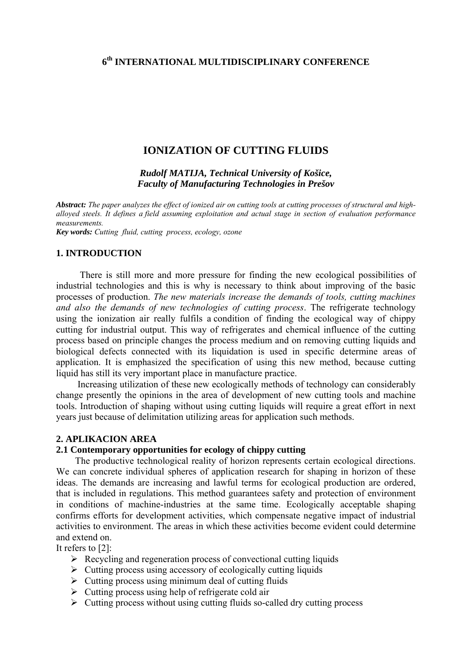# **6th INTERNATIONAL MULTIDISCIPLINARY CONFERENCE**

# **IONIZATION OF CUTTING FLUIDS**

*Rudolf MATIJA, Technical University of Košice, Faculty of Manufacturing Technologies in Prešov* 

*Abstract: The paper analyzes the effect of ionized air on cutting tools at cutting processes of structural and highalloyed steels. It defines a field assuming exploitation and actual stage in section of evaluation performance measurements.* 

*Key words: Cutting fluid, cutting process, ecology, ozone* 

# **1. INTRODUCTION**

There is still more and more pressure for finding the new ecological possibilities of industrial technologies and this is why is necessary to think about improving of the basic processes of production. *The new materials increase the demands of tools, cutting machines and also the demands of new technologies of cutting process*. The refrigerate technology using the ionization air really fulfils a condition of finding the ecological way of chippy cutting for industrial output. This way of refrigerates and chemical influence of the cutting process based on principle changes the process medium and on removing cutting liquids and biological defects connected with its liquidation is used in specific determine areas of application. It is emphasized the specification of using this new method, because cutting liquid has still its very important place in manufacture practice.

 Increasing utilization of these new ecologically methods of technology can considerably change presently the opinions in the area of development of new cutting tools and machine tools. Introduction of shaping without using cutting liquids will require a great effort in next years just because of delimitation utilizing areas for application such methods.

### **2. APLIKACION AREA**

# **2.1 Contemporary opportunities for ecology of chippy cutting**

 The productive technological reality of horizon represents certain ecological directions. We can concrete individual spheres of application research for shaping in horizon of these ideas. The demands are increasing and lawful terms for ecological production are ordered, that is included in regulations. This method guarantees safety and protection of environment in conditions of machine-industries at the same time. Ecologically acceptable shaping confirms efforts for development activities, which compensate negative impact of industrial activities to environment. The areas in which these activities become evident could determine and extend on.

It refers to [2]:

- $\triangleright$  Recycling and regeneration process of convectional cutting liquids
- $\triangleright$  Cutting process using accessory of ecologically cutting liquids
- $\triangleright$  Cutting process using minimum deal of cutting fluids
- $\triangleright$  Cutting process using help of refrigerate cold air
- $\triangleright$  Cutting process without using cutting fluids so-called dry cutting process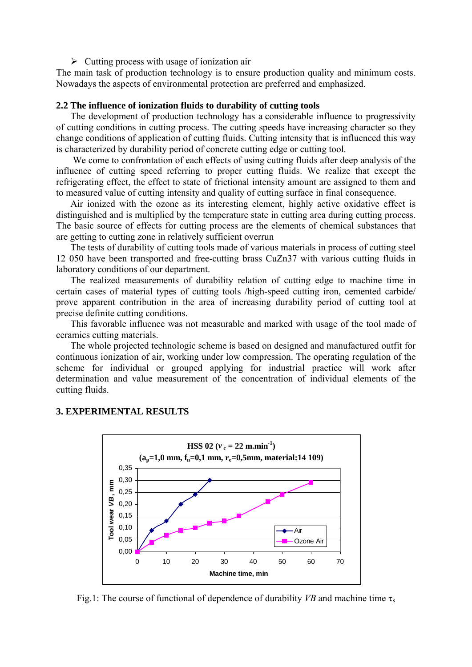#### $\triangleright$  Cutting process with usage of ionization air

The main task of production technology is to ensure production quality and minimum costs. Nowadays the aspects of environmental protection are preferred and emphasized.

#### **2.2 The influence of ionization fluids to durability of cutting tools**

 The development of production technology has a considerable influence to progressivity of cutting conditions in cutting process. The cutting speeds have increasing character so they change conditions of application of cutting fluids. Cutting intensity that is influenced this way is characterized by durability period of concrete cutting edge or cutting tool.

 We come to confrontation of each effects of using cutting fluids after deep analysis of the influence of cutting speed referring to proper cutting fluids. We realize that except the refrigerating effect, the effect to state of frictional intensity amount are assigned to them and to measured value of cutting intensity and quality of cutting surface in final consequence.

 Air ionized with the ozone as its interesting element, highly active oxidative effect is distinguished and is multiplied by the temperature state in cutting area during cutting process. The basic source of effects for cutting process are the elements of chemical substances that are getting to cutting zone in relatively sufficient overrun

 The tests of durability of cutting tools made of various materials in process of cutting steel 12 050 have been transported and free-cutting brass CuZn37 with various cutting fluids in laboratory conditions of our department.

 The realized measurements of durability relation of cutting edge to machine time in certain cases of material types of cutting tools /high-speed cutting iron, cemented carbide/ prove apparent contribution in the area of increasing durability period of cutting tool at precise definite cutting conditions.

 This favorable influence was not measurable and marked with usage of the tool made of ceramics cutting materials.

 The whole projected technologic scheme is based on designed and manufactured outfit for continuous ionization of air, working under low compression. The operating regulation of the scheme for individual or grouped applying for industrial practice will work after determination and value measurement of the concentration of individual elements of the cutting fluids.



# **3. EXPERIMENTAL RESULTS**

Fig.1: The course of functional of dependence of durability *VB* and machine time  $\tau_s$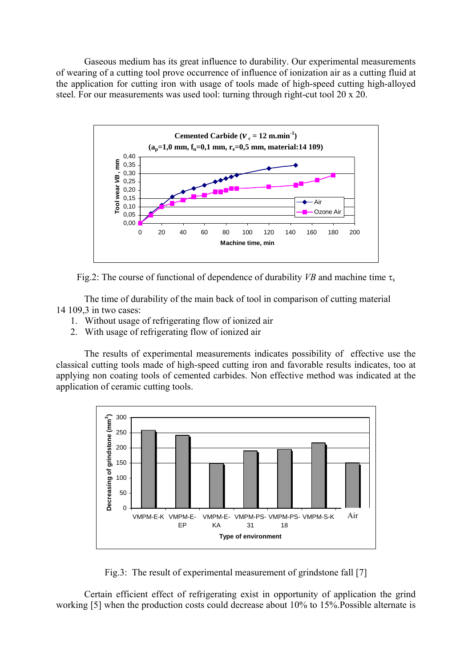Gaseous medium has its great influence to durability. Our experimental measurements of wearing of a cutting tool prove occurrence of influence of ionization air as a cutting fluid at the application for cutting iron with usage of tools made of high-speed cutting high-alloyed steel. For our measurements was used tool: turning through right-cut tool 20 x 20.



Fig.2: The course of functional of dependence of durability *VB* and machine time  $\tau_s$ 

The time of durability of the main back of tool in comparison of cutting material 14 109 3 in two cases:

- 1. Without usage of refrigerating flow of ionized air
- 2. With usage of refrigerating flow of ionized air

The results of experimental measurements indicates possibility of effective use the classical cutting tools made of high-speed cutting iron and favorable results indicates, too at applying non coating tools of cemented carbides. Non effective method was indicated at the application of ceramic cutting tools.



Fig.3: The result of experimental measurement of grindstone fall [7]

Certain efficient effect of refrigerating exist in opportunity of application the grind working [5] when the production costs could decrease about 10% to 15%.Possible alternate is